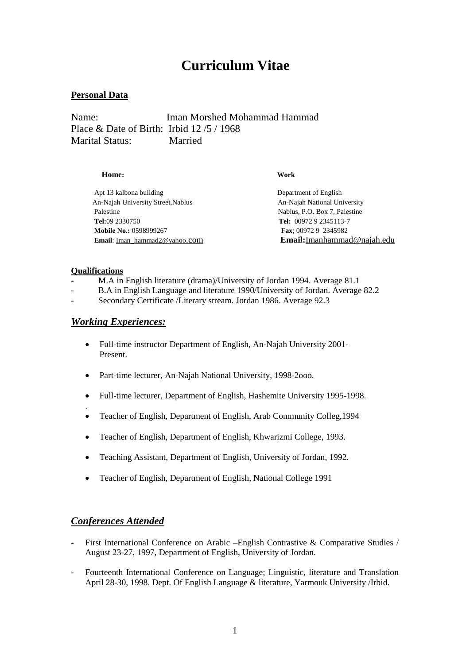# **Curriculum Vitae**

### **Personal Data**

Name: Iman Morshed Mohammad Hammad Place & Date of Birth: Irbid 12 /5 / 1968 Marital Status: Married

#### **Home: Work**

Apt 13 kalbona building Department of English An-Najah University Street,Nablus An-Najah National University Palestine Nablus, P.O. Box 7, Palestine  **Tel:**09 2330750 **Tel:** 00972 9 2345113-7  **Mobile No.:** 0598999267 **Fax**; 00972 9 2345982

**Email**: Iman\_hammad2@yahoo.com **Email:**Imanhammad@najah.edu

#### **Qualifications**

- $\overline{M.A}$  in English literature (drama)/University of Jordan 1994. Average 81.1
	- B.A in English Language and literature 1990/University of Jordan. Average 82.2
- Secondary Certificate /Literary stream. Jordan 1986. Average 92.3

#### *Working Experiences:*

- Full-time instructor Department of English, An-Najah University 2001-Present.
- Part-time lecturer, An-Najah National University, 1998-2ooo.
- Full-time lecturer, Department of English, Hashemite University 1995-1998.
- . Teacher of English, Department of English, Arab Community Colleg,1994
- Teacher of English, Department of English, Khwarizmi College, 1993.
- Teaching Assistant, Department of English, University of Jordan, 1992.
- Teacher of English, Department of English, National College 1991

### *Conferences Attended*

- First International Conference on Arabic –English Contrastive & Comparative Studies / August 23-27, 1997, Department of English, University of Jordan.
- Fourteenth International Conference on Language; Linguistic, literature and Translation April 28-30, 1998. Dept. Of English Language & literature, Yarmouk University /Irbid.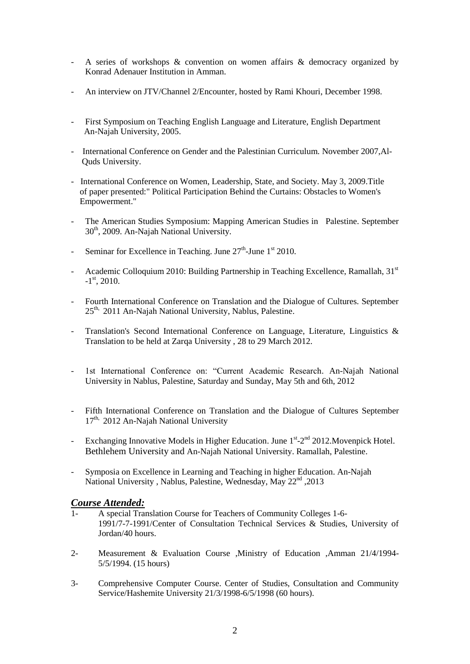- A series of workshops & convention on women affairs & democracy organized by Konrad Adenauer Institution in Amman.
- An interview on JTV/Channel 2/Encounter, hosted by Rami Khouri, December 1998.
- First Symposium on Teaching English Language and Literature, English Department An-Najah University, 2005.
- International Conference on Gender and the Palestinian Curriculum. November 2007,Al- Quds University.
- International Conference on Women, Leadership, State, and Society. May 3, 2009.Title of paper presented:" Political Participation Behind the Curtains: Obstacles to Women's Empowerment."
- The American Studies Symposium: Mapping American Studies in Palestine. September 30<sup>th</sup>, 2009. An-Najah National University.
- Seminar for Excellence in Teaching. June  $27<sup>th</sup>$ -June  $1<sup>st</sup>$  2010.
- Academic Colloquium 2010: Building Partnership in Teaching Excellence, Ramallah, 31<sup>st</sup>  $-1$ <sup>st</sup>, 2010.
- Fourth International Conference on Translation and the Dialogue of Cultures. September 25<sup>th,</sup> 2011 An-Najah National University, Nablus, Palestine.
- Translation's Second International Conference on Language, Literature, Linguistics & Translation to be held at Zarqa University , 28 to 29 March 2012.
- 1st International Conference on: "Current Academic Research. An-Najah National University in Nablus, Palestine, Saturday and Sunday, May 5th and 6th, 2012
- Fifth International Conference on Translation and the Dialogue of Cultures September  $17<sup>th</sup>$ , 2012 An-Najah National University
- Exchanging Innovative Models in Higher Education. June  $1<sup>st</sup> 2<sup>nd</sup>$  2012. Movenpick Hotel. Bethlehem University and An-Najah National University. Ramallah, Palestine.
- Symposia on Excellence in Learning and Teaching in higher Education. An-Najah National University , Nablus, Palestine, Wednesday, May 22nd ,2013

#### *Course Attended:*

- 1- A special Translation Course for Teachers of Community Colleges 1-6- 1991/7-7-1991/Center of Consultation Technical Services & Studies, University of Jordan/40 hours.
- 2- Measurement & Evaluation Course ,Ministry of Education ,Amman 21/4/1994- 5/5/1994. (15 hours)
- 3- Comprehensive Computer Course. Center of Studies, Consultation and Community Service/Hashemite University 21/3/1998-6/5/1998 (60 hours).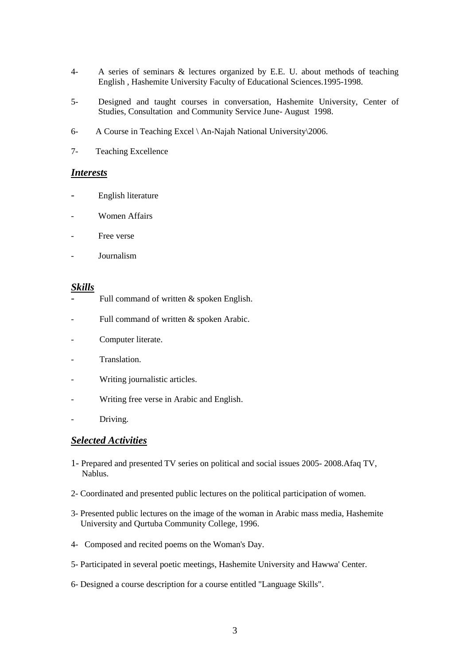- 4- A series of seminars & lectures organized by E.E. U. about methods of teaching English , Hashemite University Faculty of Educational Sciences.1995-1998.
- 5- Designed and taught courses in conversation, Hashemite University, Center of Studies, Consultation and Community Service June- August 1998.
- 6- A Course in Teaching Excel \ An-Najah National University\2006.
- 7- Teaching Excellence

#### *Interests*

- English literature
- Women Affairs
- Free verse
- Journalism

### *Skills*

- Full command of written  $&$  spoken English.
- Full command of written & spoken Arabic.
- Computer literate.
- Translation.
- Writing journalistic articles.
- Writing free verse in Arabic and English.
- Driving.

#### *Selected Activities*

- 1- Prepared and presented TV series on political and social issues 2005- 2008.Afaq TV, Nablus.
- 2- Coordinated and presented public lectures on the political participation of women.
- 3- Presented public lectures on the image of the woman in Arabic mass media, Hashemite University and Qurtuba Community College, 1996.
- 4- Composed and recited poems on the Woman's Day.
- 5- Participated in several poetic meetings, Hashemite University and Hawwa' Center.
- 6- Designed a course description for a course entitled "Language Skills".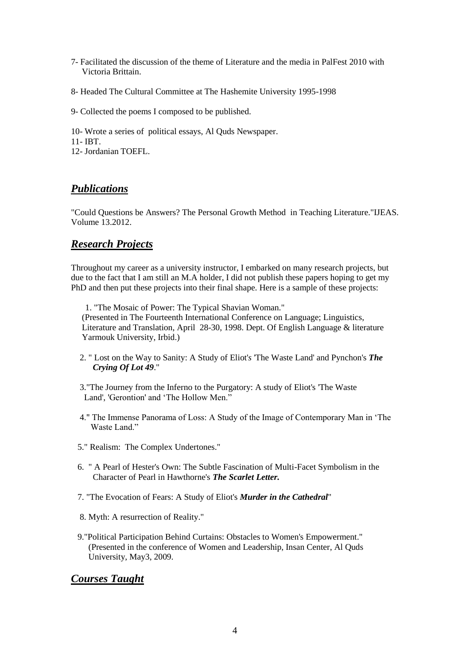- 7- Facilitated the discussion of the theme of Literature and the media in PalFest 2010 with Victoria Brittain.
- 8- Headed The Cultural Committee at The Hashemite University 1995-1998
- 9- Collected the poems I composed to be published.

10- Wrote a series of political essays, Al Quds Newspaper. 11- IBT. 12- Jordanian TOEFL.

# *Publications*

"Could Questions be Answers? The Personal Growth Method in Teaching Literature."IJEAS. Volume 13.2012.

# *Research Projects*

Throughout my career as a university instructor, I embarked on many research projects, but due to the fact that I am still an M.A holder, I did not publish these papers hoping to get my PhD and then put these projects into their final shape. Here is a sample of these projects:

1. "The Mosaic of Power: The Typical Shavian Woman." (Presented in The Fourteenth International Conference on Language; Linguistics, Literature and Translation, April 28-30, 1998. Dept. Of English Language & literature Yarmouk University, Irbid.)

- 2. " Lost on the Way to Sanity: A Study of Eliot'*s* 'The Waste Land' and Pynchon's *The Crying Of Lot 49*."
- 3."The Journey from the Inferno to the Purgatory: A study of Eliot's 'The Waste Land', 'Gerontion' and 'The Hollow Men."
- 4." The Immense Panorama of Loss: A Study of the Image of Contemporary Man in 'The Waste Land."
- 5." Realism: The Complex Undertones."
- 6. " A Pearl of Hester's Own: The Subtle Fascination of Multi-Facet Symbolism in the Character of Pearl in Hawthorne's *The Scarlet Letter.*
- 7. "The Evocation of Fears: A Study of Eliot's *Murder in the Cathedral*"
- 8. Myth: A resurrection of Reality."
- 9."Political Participation Behind Curtains: Obstacles to Women's Empowerment." (Presented in the conference of Women and Leadership, Insan Center, Al Quds University, May3, 2009.

## *Courses Taught*